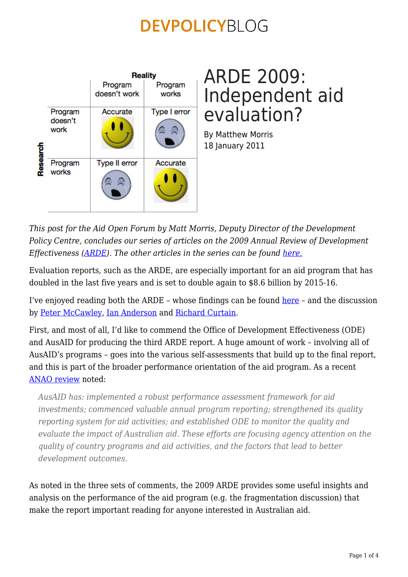

# ARDE 2009: Independent aid evaluation?

By Matthew Morris 18 January 2011

*This post for the Aid Open Forum by Matt Morris, Deputy Director of the Development Policy Centre, concludes our series of articles on the 2009 Annual Review of Development Effectiveness [\(ARDE\)](http://www.ode.ausaid.gov.au/news/news19.html). The other articles in the series can be found [here.](https://devpolicy.org/tag/arde/)*

Evaluation reports, such as the ARDE, are especially important for an aid program that has doubled in the last five years and is set to double again to \$8.6 billion by 2015-16.

I've enjoyed reading both the ARDE – whose findings can be found [here](http://www.ode.ausaid.gov.au/news/news19.html) – and the discussion by [Peter McCawley,](https://devpolicy.org/ausaids-end-of-year-report-card/) [Ian Anderson](https://devpolicy.org/an-important-but-overlooked-report/) and [Richard Curtain](https://devpolicy.org/delivering-good-aid/).

First, and most of all, I'd like to commend the Office of Development Effectiveness (ODE) and AusAID for producing the third ARDE report. A huge amount of work – involving all of AusAID's programs – goes into the various self-assessments that build up to the final report, and this is part of the broader performance orientation of the aid program. As a recent [ANAO review](http://www.anao.gov.au/director/publications/auditreports/2009-2010.cfm?item_id=1DE4FFFE1560A6E8AAB11534130FF623) noted:

*AusAID has: implemented a robust performance assessment framework for aid investments; commenced valuable annual program reporting; strengthened its quality reporting system for aid activities; and established ODE to monitor the quality and evaluate the impact of Australian aid. These efforts are focusing agency attention on the quality of country programs and aid activities, and the factors that lead to better development outcomes.*

As noted in the three sets of comments, the 2009 ARDE provides some useful insights and analysis on the performance of the aid program (e.g. the fragmentation discussion) that make the report important reading for anyone interested in Australian aid.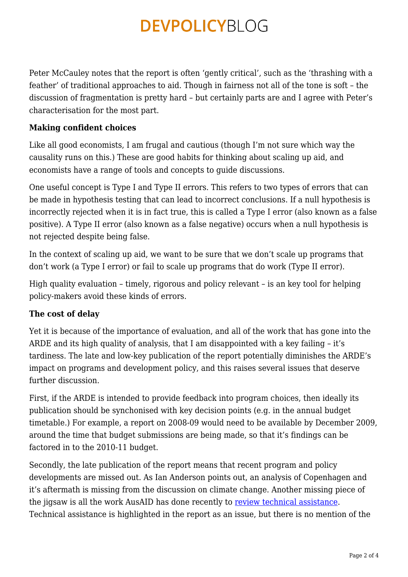Peter McCauley notes that the report is often 'gently critical', such as the 'thrashing with a feather' of traditional approaches to aid. Though in fairness not all of the tone is soft – the discussion of fragmentation is pretty hard – but certainly parts are and I agree with Peter's characterisation for the most part.

### **Making confident choices**

Like all good economists, I am frugal and cautious (though I'm not sure which way the causality runs on this.) These are good habits for thinking about scaling up aid, and economists have a range of tools and concepts to guide discussions.

One useful concept is Type I and Type II errors. This refers to two types of errors that can be made in hypothesis testing that can lead to incorrect conclusions. If a null hypothesis is incorrectly rejected when it is in fact true, this is called a Type I error (also known as a false positive). A Type II error (also known as a false negative) occurs when a null hypothesis is not rejected despite being false.

In the context of scaling up aid, we want to be sure that we don't scale up programs that don't work (a Type I error) or fail to scale up programs that do work (Type II error).

High quality evaluation – timely, rigorous and policy relevant – is an key tool for helping policy-makers avoid these kinds of errors.

### **The cost of delay**

Yet it is because of the importance of evaluation, and all of the work that has gone into the ARDE and its high quality of analysis, that I am disappointed with a key failing – it's tardiness. The late and low-key publication of the report potentially diminishes the ARDE's impact on programs and development policy, and this raises several issues that deserve further discussion.

First, if the ARDE is intended to provide feedback into program choices, then ideally its publication should be synchonised with key decision points (e.g. in the annual budget timetable.) For example, a report on 2008-09 would need to be available by December 2009, around the time that budget submissions are being made, so that it's findings can be factored in to the 2010-11 budget.

Secondly, the late publication of the report means that recent program and policy developments are missed out. As Ian Anderson points out, an analysis of Copenhagen and it's aftermath is missing from the discussion on climate change. Another missing piece of the jigsaw is all the work AusAID has done recently to [review technical assistance.](http://www.ausaid.gov.au/makediff/adviser-review.cfm) Technical assistance is highlighted in the report as an issue, but there is no mention of the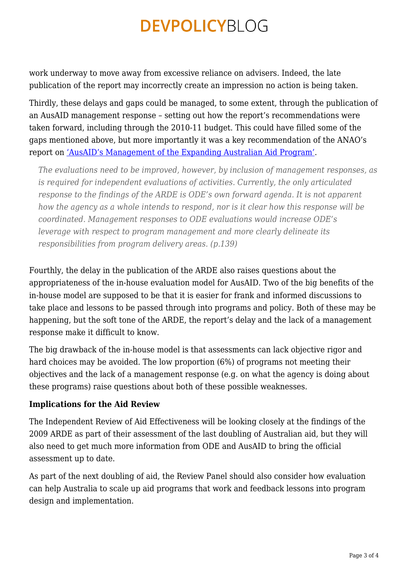work underway to move away from excessive reliance on advisers. Indeed, the late publication of the report may incorrectly create an impression no action is being taken.

Thirdly, these delays and gaps could be managed, to some extent, through the publication of an AusAID management response – setting out how the report's recommendations were taken forward, including through the 2010-11 budget. This could have filled some of the gaps mentioned above, but more importantly it was a key recommendation of the ANAO's report on ['AusAID's Management of the Expanding Australian Aid Program'](http://www.anao.gov.au/uploads/documents/2009-10_Audit_Report_15.pdf).

*The evaluations need to be improved, however, by inclusion of management responses, as is required for independent evaluations of activities. Currently, the only articulated response to the findings of the ARDE is ODE's own forward agenda. It is not apparent how the agency as a whole intends to respond, nor is it clear how this response will be coordinated. Management responses to ODE evaluations would increase ODE's leverage with respect to program management and more clearly delineate its responsibilities from program delivery areas. (p.139)*

Fourthly, the delay in the publication of the ARDE also raises questions about the appropriateness of the in-house evaluation model for AusAID. Two of the big benefits of the in-house model are supposed to be that it is easier for frank and informed discussions to take place and lessons to be passed through into programs and policy. Both of these may be happening, but the soft tone of the ARDE, the report's delay and the lack of a management response make it difficult to know.

The big drawback of the in-house model is that assessments can lack objective rigor and hard choices may be avoided. The low proportion (6%) of programs not meeting their objectives and the lack of a management response (e.g. on what the agency is doing about these programs) raise questions about both of these possible weaknesses.

#### **Implications for the Aid Review**

The Independent Review of Aid Effectiveness will be looking closely at the findings of the 2009 ARDE as part of their assessment of the last doubling of Australian aid, but they will also need to get much more information from ODE and AusAID to bring the official assessment up to date.

As part of the next doubling of aid, the Review Panel should also consider how evaluation can help Australia to scale up aid programs that work and feedback lessons into program design and implementation.